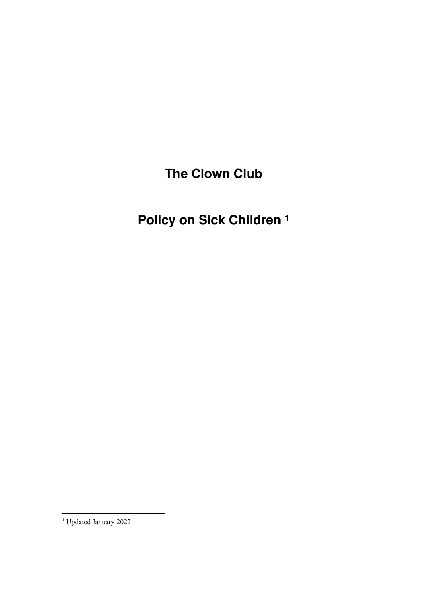**The Clown Club**

**Policy on Sick Children <sup>1</sup>**

<sup>1</sup> Updated January 2022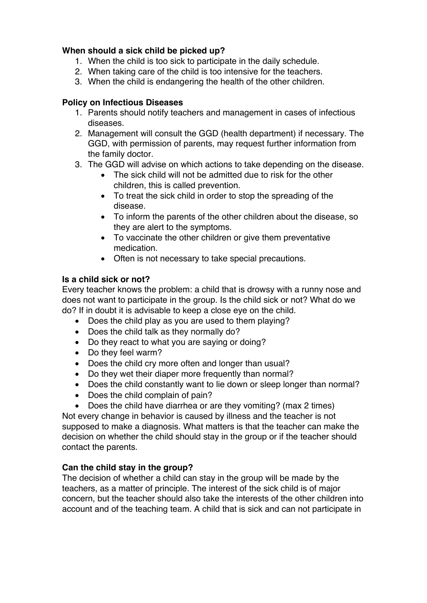# **When should a sick child be picked up?**

- 1. When the child is too sick to participate in the daily schedule.
- 2. When taking care of the child is too intensive for the teachers.
- 3. When the child is endangering the health of the other children.

## **Policy on Infectious Diseases**

- 1. Parents should notify teachers and management in cases of infectious diseases.
- 2. Management will consult the GGD (health department) if necessary. The GGD, with permission of parents, may request further information from the family doctor.
- 3. The GGD will advise on which actions to take depending on the disease.
	- The sick child will not be admitted due to risk for the other children, this is called prevention.
	- To treat the sick child in order to stop the spreading of the disease.
	- To inform the parents of the other children about the disease, so they are alert to the symptoms.
	- To vaccinate the other children or give them preventative medication.
	- Often is not necessary to take special precautions.

## **Is a child sick or not?**

Every teacher knows the problem: a child that is drowsy with a runny nose and does not want to participate in the group. Is the child sick or not? What do we do? If in doubt it is advisable to keep a close eye on the child.

- Does the child play as you are used to them playing?
- Does the child talk as they normally do?
- Do they react to what you are saying or doing?
- Do they feel warm?
- Does the child cry more often and longer than usual?
- Do they wet their diaper more frequently than normal?
- Does the child constantly want to lie down or sleep longer than normal?
- Does the child complain of pain?
- Does the child have diarrhea or are they vomiting? (max 2 times)

Not every change in behavior is caused by illness and the teacher is not supposed to make a diagnosis. What matters is that the teacher can make the decision on whether the child should stay in the group or if the teacher should contact the parents.

# **Can the child stay in the group?**

The decision of whether a child can stay in the group will be made by the teachers, as a matter of principle. The interest of the sick child is of major concern, but the teacher should also take the interests of the other children into account and of the teaching team. A child that is sick and can not participate in